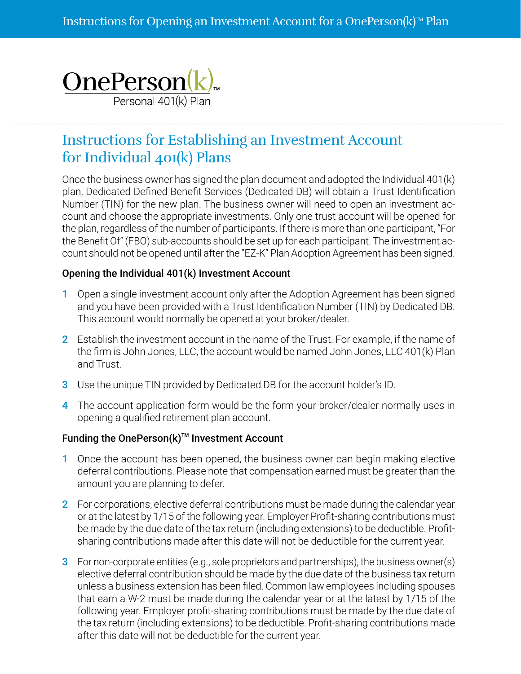

# Instructions for Establishing an Investment Account for Individual 401(k) Plans

Once the business owner has signed the plan document and adopted the Individual 401(k) plan, Dedicated Defined Benefit Services (Dedicated DB) will obtain a Trust Identification Number (TIN) for the new plan. The business owner will need to open an investment account and choose the appropriate investments. Only one trust account will be opened for the plan, regardless of the number of participants. If there is more than one participant, "For the Benefit Of" (FBO) sub-accounts should be set up for each participant. The investment account should not be opened until after the "EZ-K" Plan Adoption Agreement has been signed.

## Opening the Individual 401(k) Investment Account

- 1 Open a single investment account only after the Adoption Agreement has been signed and you have been provided with a Trust Identification Number (TIN) by Dedicated DB. This account would normally be opened at your broker/dealer.
- 2 Establish the investment account in the name of the Trust. For example, if the name of the firm is John Jones, LLC, the account would be named John Jones, LLC 401(k) Plan and Trust.
- 3 Use the unique TIN provided by Dedicated DB for the account holder's ID.
- 4 The account application form would be the form your broker/dealer normally uses in opening a qualified retirement plan account.

## Funding the OnePerson $(k)$ <sup>M</sup> Investment Account

- 1 Once the account has been opened, the business owner can begin making elective deferral contributions. Please note that compensation earned must be greater than the amount you are planning to defer.
- 2 For corporations, elective deferral contributions must be made during the calendar year or at the latest by 1/15 of the following year. Employer Profit-sharing contributions must be made by the due date of the tax return (including extensions) to be deductible. Profitsharing contributions made after this date will not be deductible for the current year.
- 3 For non-corporate entities (e.g., sole proprietors and partnerships), the business owner(s) elective deferral contribution should be made by the due date of the business tax return unless a business extension has been filed. Common law employees including spouses that earn a W-2 must be made during the calendar year or at the latest by 1/15 of the following year. Employer profit-sharing contributions must be made by the due date of the tax return (including extensions) to be deductible. Profit-sharing contributions made after this date will not be deductible for the current year.